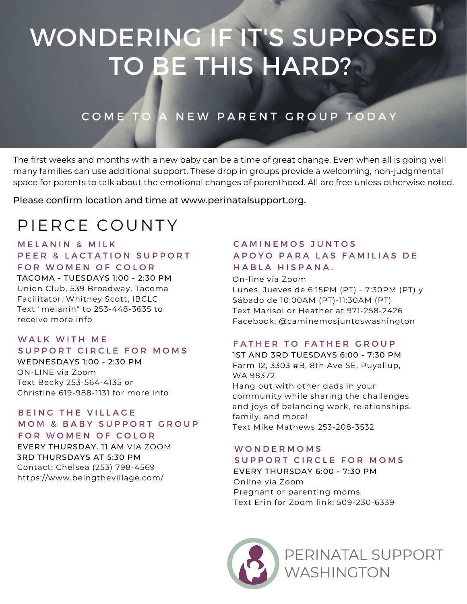# WONDERING IF IT'S SUPPOSED TO BE THIS HARD?

# COME TO A NEW PARENT GROUP TODAY

The first weeks and months with a new baby can be a time of great change. Even when all is going well many families can use additional support. These drop in groups provide a welcoming, non-judgmental space for parents to talk about the emotional changes of parenthood. All are free unless otherwise noted.

Please confirm location and time at www.perinatalsupport.org.

# PIERCE COUNTY

#### **MELANIN & MILK** PEER & LACTATION SUPPORT FOR WOMEN OF COLOR

TACOMA - TUESDAYS 1:00 - 2:30 PM Union Club, 539 Broadway, Tacoma Facilitator: Whitney Scott, IBCLC Text "melanin" to 253-448-3635 to receive more info

# WALK WITH ME

#### SUPPORT CIRCLE FOR MOMS WEDNESDAYS 1:00 - 2:30 PM ON-LINE via Zoom Text Becky 253-564-4135 or

Christine 619-988-1131 for more info

#### BEING THE VILLAGE MOM & BABY SUPPORT GROUP FOR WOMEN OF COLOR

EVERY THURSDAY. 11 AM VIA ZOOM 3RD THURSDAYS AT 5:30 PM Contact: Chelsea (253) 798-4569 https://www.beingthevillage.com/

# CAMINEMOS JUNTOS A P O Y O P A R A L A S F A M I L I A S D E HABLA HISPANA.

On-line via Zoom Lunes, Jueves de 6:15PM (PT) - 7:30PM (PT) y Sábado de 10:00AM (PT)-11:30AM (PT) Text Marisol or Heather at 971-258-2426 Facebook: @caminemosjuntoswashington

### FATHER TO FATHER GROUP

1ST AND 3RD TUESDAYS 6:00 - 7:30 PM Farm 12, 3303 #B, 8th Ave SE, Puyallup, WA 98372 Hang out with other dads in your community while sharing the challenges and joys of balancing work, relationships, family, and more! Text Mike Mathews 253-208-3532

#### W O N D E R M O M S

#### SUPPORT CIRCLE FOR MOMS

EVERY THURSDAY 6:00 - 7:30 PM Online via Zoom Pregnant or parenting moms Text Erin for Zoom link: 509-230-6339